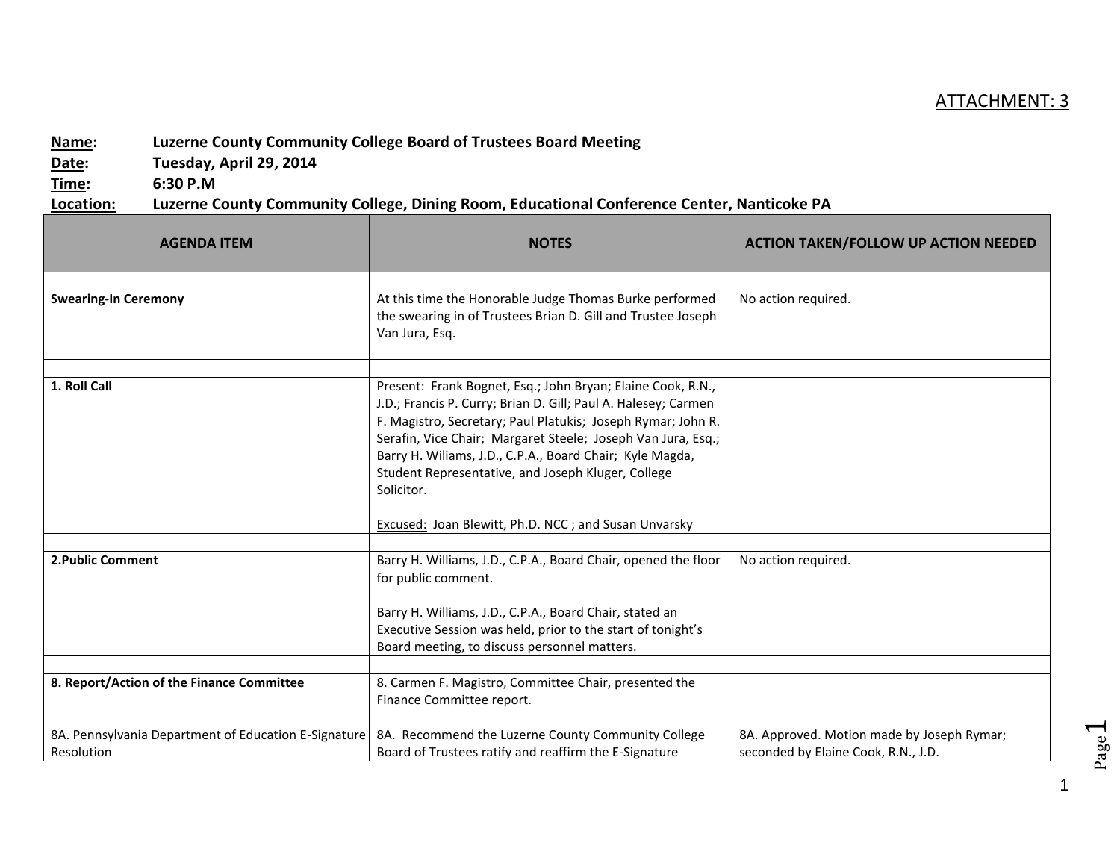## ATTACHMENT: 3

## **Name: Luzerne County Community College Board of Trustees Board Meeting**

**Date: Tuesday, April 29, 2014**

**Time: 6:30 P.M**

**Location: Luzerne County Community College, Dining Room, Educational Conference Center, Nanticoke PA**

| <b>AGENDA ITEM</b>                                                                                              | <b>NOTES</b>                                                                                                                                                                                                                                                                                                                                                                                                                                                 | <b>ACTION TAKEN/FOLLOW UP ACTION NEEDED</b>                                       |
|-----------------------------------------------------------------------------------------------------------------|--------------------------------------------------------------------------------------------------------------------------------------------------------------------------------------------------------------------------------------------------------------------------------------------------------------------------------------------------------------------------------------------------------------------------------------------------------------|-----------------------------------------------------------------------------------|
| <b>Swearing-In Ceremony</b>                                                                                     | At this time the Honorable Judge Thomas Burke performed<br>the swearing in of Trustees Brian D. Gill and Trustee Joseph<br>Van Jura, Esq.                                                                                                                                                                                                                                                                                                                    | No action required.                                                               |
| 1. Roll Call                                                                                                    | Present: Frank Bognet, Esq.; John Bryan; Elaine Cook, R.N.,<br>J.D.; Francis P. Curry; Brian D. Gill; Paul A. Halesey; Carmen<br>F. Magistro, Secretary; Paul Platukis; Joseph Rymar; John R.<br>Serafin, Vice Chair; Margaret Steele; Joseph Van Jura, Esq.;<br>Barry H. Wiliams, J.D., C.P.A., Board Chair; Kyle Magda,<br>Student Representative, and Joseph Kluger, College<br>Solicitor.<br><b>Excused: Joan Blewitt, Ph.D. NCC; and Susan Unvarsky</b> |                                                                                   |
| 2. Public Comment                                                                                               | Barry H. Williams, J.D., C.P.A., Board Chair, opened the floor<br>for public comment.<br>Barry H. Williams, J.D., C.P.A., Board Chair, stated an<br>Executive Session was held, prior to the start of tonight's<br>Board meeting, to discuss personnel matters.                                                                                                                                                                                              | No action required.                                                               |
| 8. Report/Action of the Finance Committee<br>8A. Pennsylvania Department of Education E-Signature<br>Resolution | 8. Carmen F. Magistro, Committee Chair, presented the<br>Finance Committee report.<br>8A. Recommend the Luzerne County Community College<br>Board of Trustees ratify and reaffirm the E-Signature                                                                                                                                                                                                                                                            | 8A. Approved. Motion made by Joseph Rymar;<br>seconded by Elaine Cook, R.N., J.D. |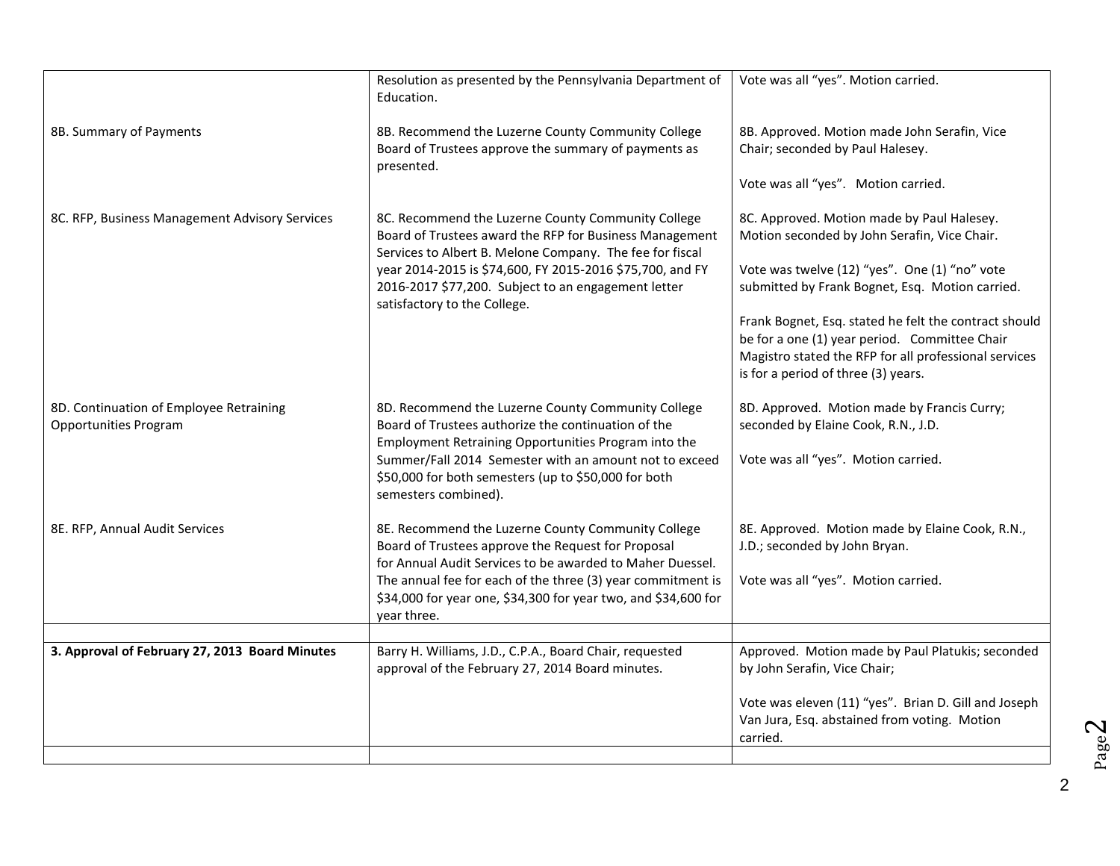|                                                                         | Resolution as presented by the Pennsylvania Department of<br>Education.                                                                                                                                                                                                                                     | Vote was all "yes". Motion carried.                                                                                                                                                                    |
|-------------------------------------------------------------------------|-------------------------------------------------------------------------------------------------------------------------------------------------------------------------------------------------------------------------------------------------------------------------------------------------------------|--------------------------------------------------------------------------------------------------------------------------------------------------------------------------------------------------------|
| 8B. Summary of Payments                                                 | 8B. Recommend the Luzerne County Community College<br>Board of Trustees approve the summary of payments as<br>presented.                                                                                                                                                                                    | 8B. Approved. Motion made John Serafin, Vice<br>Chair; seconded by Paul Halesey.                                                                                                                       |
|                                                                         |                                                                                                                                                                                                                                                                                                             | Vote was all "yes". Motion carried.                                                                                                                                                                    |
| 8C. RFP, Business Management Advisory Services                          | 8C. Recommend the Luzerne County Community College<br>Board of Trustees award the RFP for Business Management<br>Services to Albert B. Melone Company. The fee for fiscal                                                                                                                                   | 8C. Approved. Motion made by Paul Halesey.<br>Motion seconded by John Serafin, Vice Chair.                                                                                                             |
|                                                                         | year 2014-2015 is \$74,600, FY 2015-2016 \$75,700, and FY<br>2016-2017 \$77,200. Subject to an engagement letter                                                                                                                                                                                            | Vote was twelve (12) "yes". One (1) "no" vote<br>submitted by Frank Bognet, Esq. Motion carried.                                                                                                       |
|                                                                         | satisfactory to the College.                                                                                                                                                                                                                                                                                | Frank Bognet, Esq. stated he felt the contract should<br>be for a one (1) year period. Committee Chair<br>Magistro stated the RFP for all professional services<br>is for a period of three (3) years. |
| 8D. Continuation of Employee Retraining<br><b>Opportunities Program</b> | 8D. Recommend the Luzerne County Community College<br>Board of Trustees authorize the continuation of the<br>Employment Retraining Opportunities Program into the<br>Summer/Fall 2014 Semester with an amount not to exceed<br>\$50,000 for both semesters (up to \$50,000 for both<br>semesters combined). | 8D. Approved. Motion made by Francis Curry;<br>seconded by Elaine Cook, R.N., J.D.<br>Vote was all "yes". Motion carried.                                                                              |
| 8E. RFP, Annual Audit Services                                          | 8E. Recommend the Luzerne County Community College<br>Board of Trustees approve the Request for Proposal<br>for Annual Audit Services to be awarded to Maher Duessel.                                                                                                                                       | 8E. Approved. Motion made by Elaine Cook, R.N.,<br>J.D.; seconded by John Bryan.                                                                                                                       |
|                                                                         | The annual fee for each of the three (3) year commitment is<br>\$34,000 for year one, \$34,300 for year two, and \$34,600 for<br>year three.                                                                                                                                                                | Vote was all "yes". Motion carried.                                                                                                                                                                    |
|                                                                         |                                                                                                                                                                                                                                                                                                             |                                                                                                                                                                                                        |
| 3. Approval of February 27, 2013 Board Minutes                          | Barry H. Williams, J.D., C.P.A., Board Chair, requested<br>approval of the February 27, 2014 Board minutes.                                                                                                                                                                                                 | Approved. Motion made by Paul Platukis; seconded<br>by John Serafin, Vice Chair;                                                                                                                       |
|                                                                         |                                                                                                                                                                                                                                                                                                             | Vote was eleven (11) "yes". Brian D. Gill and Joseph<br>Van Jura, Esq. abstained from voting. Motion<br>carried.                                                                                       |
|                                                                         |                                                                                                                                                                                                                                                                                                             |                                                                                                                                                                                                        |

Page  $\boldsymbol{\sim}$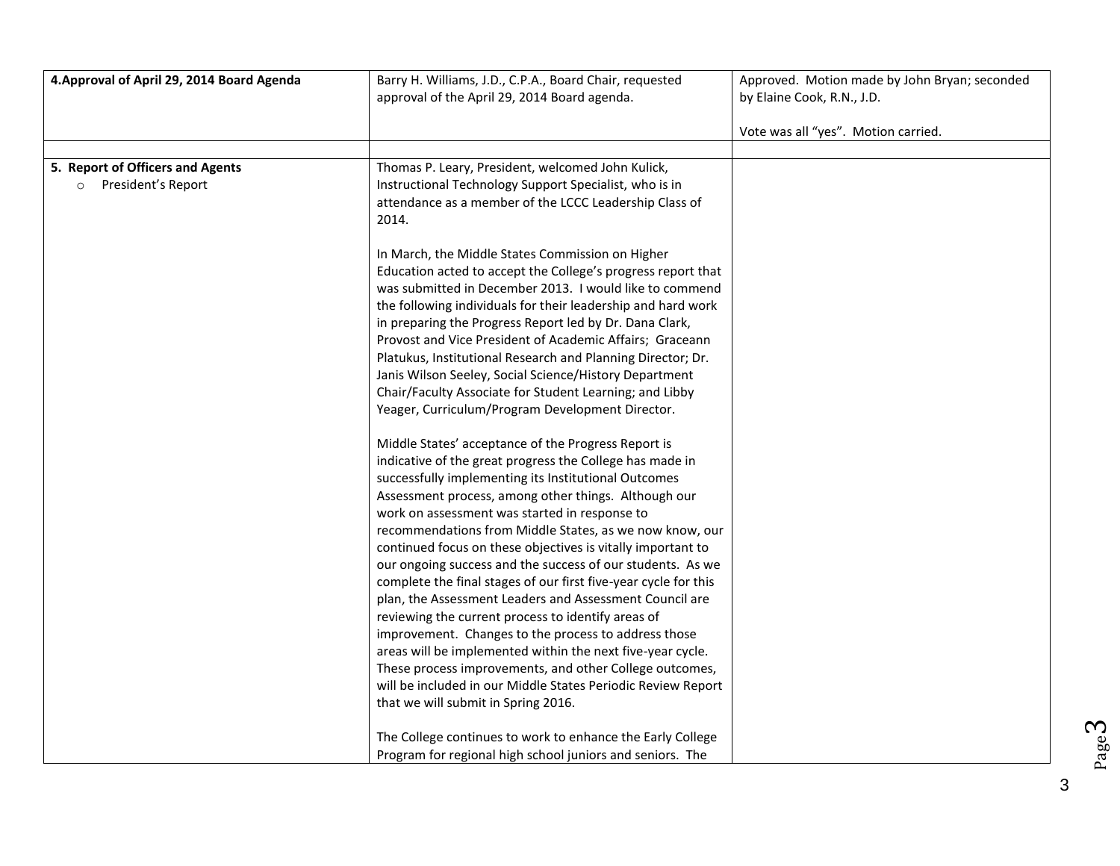| 4. Approval of April 29, 2014 Board Agenda | Barry H. Williams, J.D., C.P.A., Board Chair, requested                                             | Approved. Motion made by John Bryan; seconded |
|--------------------------------------------|-----------------------------------------------------------------------------------------------------|-----------------------------------------------|
|                                            | approval of the April 29, 2014 Board agenda.                                                        | by Elaine Cook, R.N., J.D.                    |
|                                            |                                                                                                     | Vote was all "yes". Motion carried.           |
|                                            |                                                                                                     |                                               |
| 5. Report of Officers and Agents           | Thomas P. Leary, President, welcomed John Kulick,                                                   |                                               |
| President's Report<br>$\circ$              | Instructional Technology Support Specialist, who is in                                              |                                               |
|                                            | attendance as a member of the LCCC Leadership Class of                                              |                                               |
|                                            | 2014.                                                                                               |                                               |
|                                            |                                                                                                     |                                               |
|                                            | In March, the Middle States Commission on Higher                                                    |                                               |
|                                            | Education acted to accept the College's progress report that                                        |                                               |
|                                            | was submitted in December 2013. I would like to commend                                             |                                               |
|                                            | the following individuals for their leadership and hard work                                        |                                               |
|                                            | in preparing the Progress Report led by Dr. Dana Clark,                                             |                                               |
|                                            | Provost and Vice President of Academic Affairs; Graceann                                            |                                               |
|                                            | Platukus, Institutional Research and Planning Director; Dr.                                         |                                               |
|                                            | Janis Wilson Seeley, Social Science/History Department                                              |                                               |
|                                            | Chair/Faculty Associate for Student Learning; and Libby                                             |                                               |
|                                            | Yeager, Curriculum/Program Development Director.                                                    |                                               |
|                                            | Middle States' acceptance of the Progress Report is                                                 |                                               |
|                                            | indicative of the great progress the College has made in                                            |                                               |
|                                            | successfully implementing its Institutional Outcomes                                                |                                               |
|                                            | Assessment process, among other things. Although our                                                |                                               |
|                                            | work on assessment was started in response to                                                       |                                               |
|                                            | recommendations from Middle States, as we now know, our                                             |                                               |
|                                            | continued focus on these objectives is vitally important to                                         |                                               |
|                                            | our ongoing success and the success of our students. As we                                          |                                               |
|                                            | complete the final stages of our first five-year cycle for this                                     |                                               |
|                                            | plan, the Assessment Leaders and Assessment Council are                                             |                                               |
|                                            | reviewing the current process to identify areas of                                                  |                                               |
|                                            | improvement. Changes to the process to address those                                                |                                               |
|                                            | areas will be implemented within the next five-year cycle.                                          |                                               |
|                                            | These process improvements, and other College outcomes,                                             |                                               |
|                                            | will be included in our Middle States Periodic Review Report<br>that we will submit in Spring 2016. |                                               |
|                                            |                                                                                                     |                                               |
|                                            | The College continues to work to enhance the Early College                                          |                                               |
|                                            | Program for regional high school juniors and seniors. The                                           |                                               |

Page ო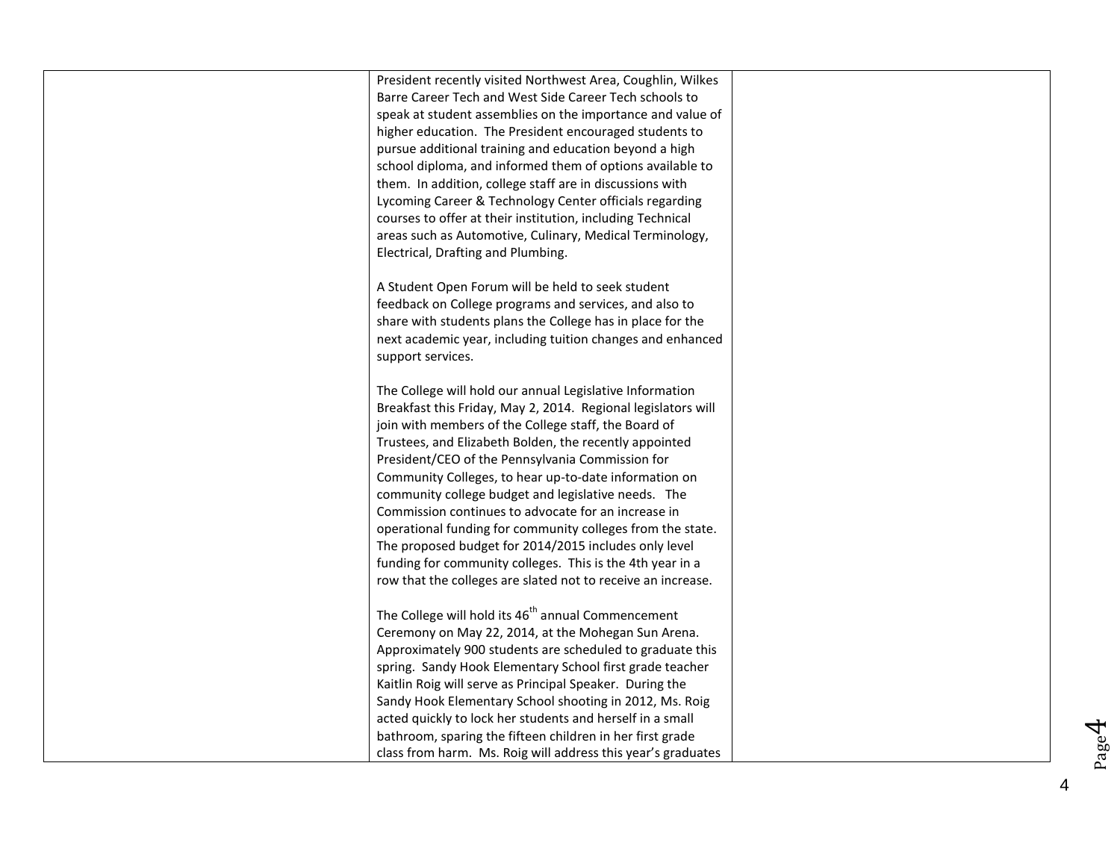President recently visited Northwest Area, Coughlin, Wilkes Barre Career Tech and West Side Career Tech schools to speak at student assemblies on the importance and value of higher education. The President encouraged students to pursue additional training and education beyond a high school diploma, and informed them of options available to them. In addition, college staff are in discussions with Lycoming Career & Technology Center officials regarding courses to offer at their institution, including Technical areas such as Automotive, Culinary, Medical Terminology, Electrical, Drafting and Plumbing.

A Student Open Forum will be held to seek student feedback on College programs and services, and also to share with students plans the College has in place for the next academic year, including tuition changes and enhanced support services.

The College will hold our annual Legislative Information Breakfast this Friday, May 2, 2014. Regional legislators will join with members of the College staff, the Board of Trustees, and Elizabeth Bolden, the recently appointed President/CEO of the Pennsylvania Commission for Community Colleges, to hear up -to -date information on community college budget and legislative needs. The Commission continues to advocate for an increase in operational funding for community colleges from the state. The proposed budget for 2014/2015 includes only level funding for community colleges. This is the 4th year in a row that the colleges are slated not to receive an increase.

The College will hold its  $46<sup>th</sup>$  annual Commencement Ceremony on May 22, 2014, at the Mohegan Sun Arena. Approximately 900 students are scheduled to graduate this spring. Sandy Hook Elementary School first grade teacher Kaitlin Roig will serve as Principal Speaker. During the Sandy Hook Elementary School shooting in 2012, Ms. Roig acted quickly to lock her students and herself in a small bathroom, sparing the fifteen children in her first grade class from harm. Ms. Roig will address this year's graduates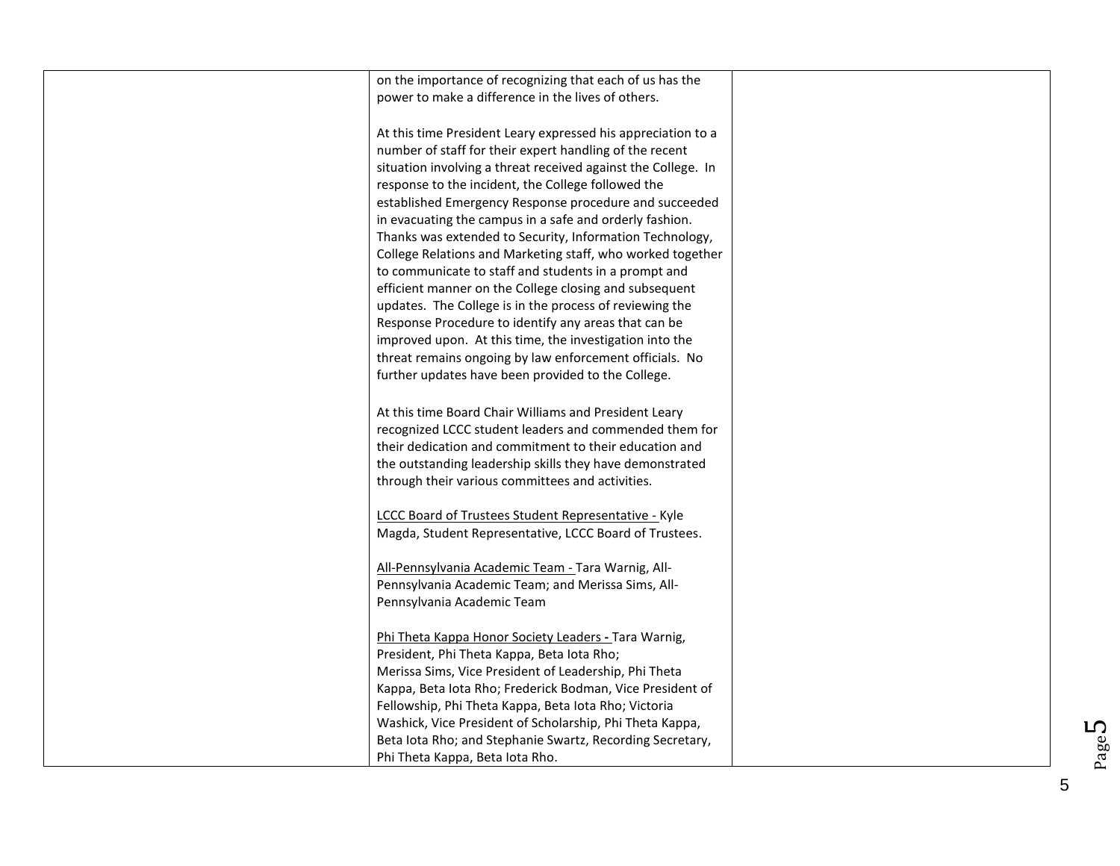| on the importance of recognizing that each of us has the                                                        |  |
|-----------------------------------------------------------------------------------------------------------------|--|
| power to make a difference in the lives of others.                                                              |  |
|                                                                                                                 |  |
| At this time President Leary expressed his appreciation to a                                                    |  |
| number of staff for their expert handling of the recent                                                         |  |
| situation involving a threat received against the College. In                                                   |  |
| response to the incident, the College followed the                                                              |  |
| established Emergency Response procedure and succeeded                                                          |  |
| in evacuating the campus in a safe and orderly fashion.                                                         |  |
| Thanks was extended to Security, Information Technology,                                                        |  |
| College Relations and Marketing staff, who worked together                                                      |  |
| to communicate to staff and students in a prompt and                                                            |  |
| efficient manner on the College closing and subsequent                                                          |  |
| updates. The College is in the process of reviewing the                                                         |  |
| Response Procedure to identify any areas that can be                                                            |  |
| improved upon. At this time, the investigation into the                                                         |  |
| threat remains ongoing by law enforcement officials. No                                                         |  |
| further updates have been provided to the College.                                                              |  |
|                                                                                                                 |  |
| At this time Board Chair Williams and President Leary<br>recognized LCCC student leaders and commended them for |  |
| their dedication and commitment to their education and                                                          |  |
| the outstanding leadership skills they have demonstrated                                                        |  |
| through their various committees and activities.                                                                |  |
|                                                                                                                 |  |
| LCCC Board of Trustees Student Representative - Kyle                                                            |  |
| Magda, Student Representative, LCCC Board of Trustees.                                                          |  |
|                                                                                                                 |  |
| All-Pennsylvania Academic Team - Tara Warnig, All-                                                              |  |
| Pennsylvania Academic Team; and Merissa Sims, All-                                                              |  |
| Pennsylvania Academic Team                                                                                      |  |
|                                                                                                                 |  |
| Phi Theta Kappa Honor Society Leaders - Tara Warnig,                                                            |  |
| President, Phi Theta Kappa, Beta lota Rho;                                                                      |  |
| Merissa Sims, Vice President of Leadership, Phi Theta                                                           |  |
| Kappa, Beta Iota Rho; Frederick Bodman, Vice President of                                                       |  |
| Fellowship, Phi Theta Kappa, Beta Iota Rho; Victoria                                                            |  |
| Washick, Vice President of Scholarship, Phi Theta Kappa,                                                        |  |
| Beta lota Rho; and Stephanie Swartz, Recording Secretary,                                                       |  |
| Phi Theta Kappa, Beta lota Rho.                                                                                 |  |

Page  $5$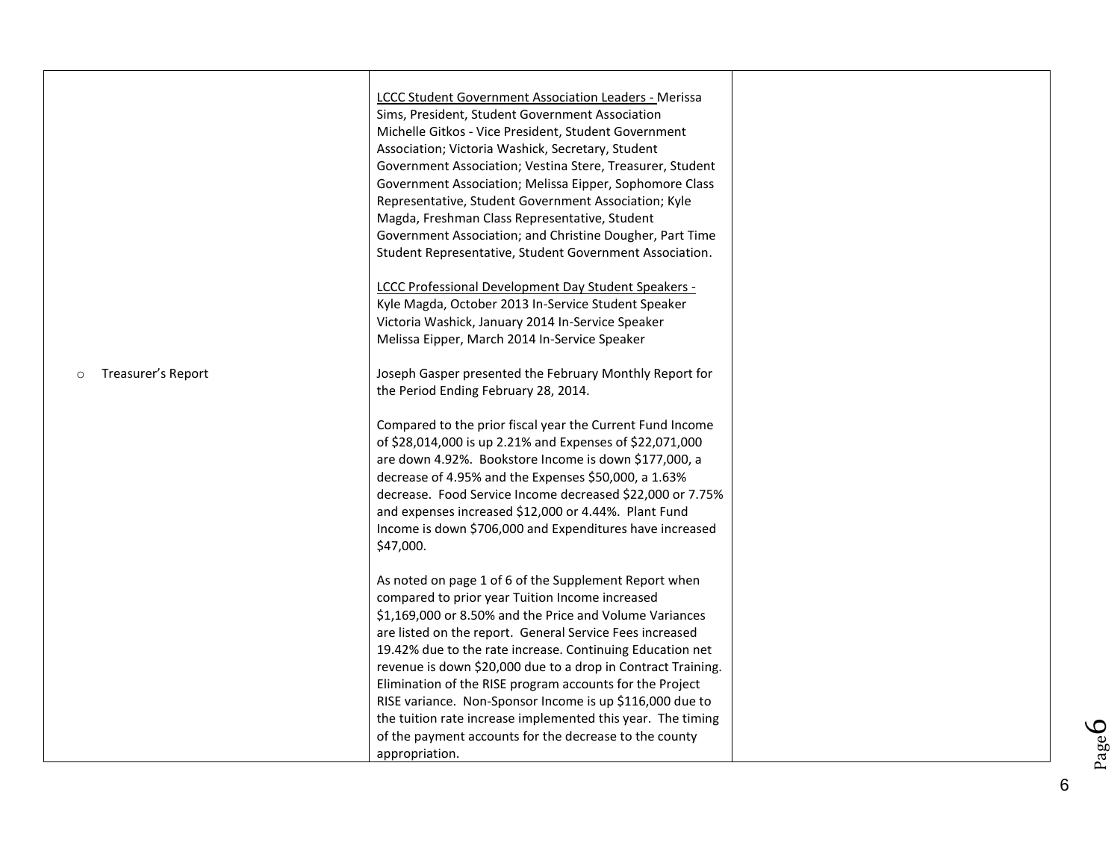| <b>LCCC Student Government Association Leaders - Merissa</b><br>Sims, President, Student Government Association<br>Michelle Gitkos - Vice President, Student Government<br>Association; Victoria Washick, Secretary, Student<br>Government Association; Vestina Stere, Treasurer, Student<br>Government Association; Melissa Eipper, Sophomore Class<br>Representative, Student Government Association; Kyle<br>Magda, Freshman Class Representative, Student<br>Government Association; and Christine Dougher, Part Time<br>Student Representative, Student Government Association. |                                                                             |
|--------------------------------------------------------------------------------------------------------------------------------------------------------------------------------------------------------------------------------------------------------------------------------------------------------------------------------------------------------------------------------------------------------------------------------------------------------------------------------------------------------------------------------------------------------------------------------------|-----------------------------------------------------------------------------|
| LCCC Professional Development Day Student Speakers -<br>Kyle Magda, October 2013 In-Service Student Speaker<br>Victoria Washick, January 2014 In-Service Speaker<br>Melissa Eipper, March 2014 In-Service Speaker                                                                                                                                                                                                                                                                                                                                                                    |                                                                             |
| Joseph Gasper presented the February Monthly Report for<br>the Period Ending February 28, 2014.                                                                                                                                                                                                                                                                                                                                                                                                                                                                                      |                                                                             |
| Compared to the prior fiscal year the Current Fund Income<br>of \$28,014,000 is up 2.21% and Expenses of \$22,071,000<br>are down 4.92%. Bookstore Income is down \$177,000, a<br>decrease of 4.95% and the Expenses \$50,000, a 1.63%<br>decrease. Food Service Income decreased \$22,000 or 7.75%<br>and expenses increased \$12,000 or 4.44%. Plant Fund<br>Income is down \$706,000 and Expenditures have increased<br>\$47,000.                                                                                                                                                 |                                                                             |
| As noted on page 1 of 6 of the Supplement Report when<br>compared to prior year Tuition Income increased<br>\$1,169,000 or 8.50% and the Price and Volume Variances<br>are listed on the report. General Service Fees increased                                                                                                                                                                                                                                                                                                                                                      |                                                                             |
| revenue is down \$20,000 due to a drop in Contract Training.<br>Elimination of the RISE program accounts for the Project<br>RISE variance. Non-Sponsor Income is up \$116,000 due to<br>the tuition rate increase implemented this year. The timing<br>of the payment accounts for the decrease to the county                                                                                                                                                                                                                                                                        |                                                                             |
|                                                                                                                                                                                                                                                                                                                                                                                                                                                                                                                                                                                      | 19.42% due to the rate increase. Continuing Education net<br>appropriation. |

Page6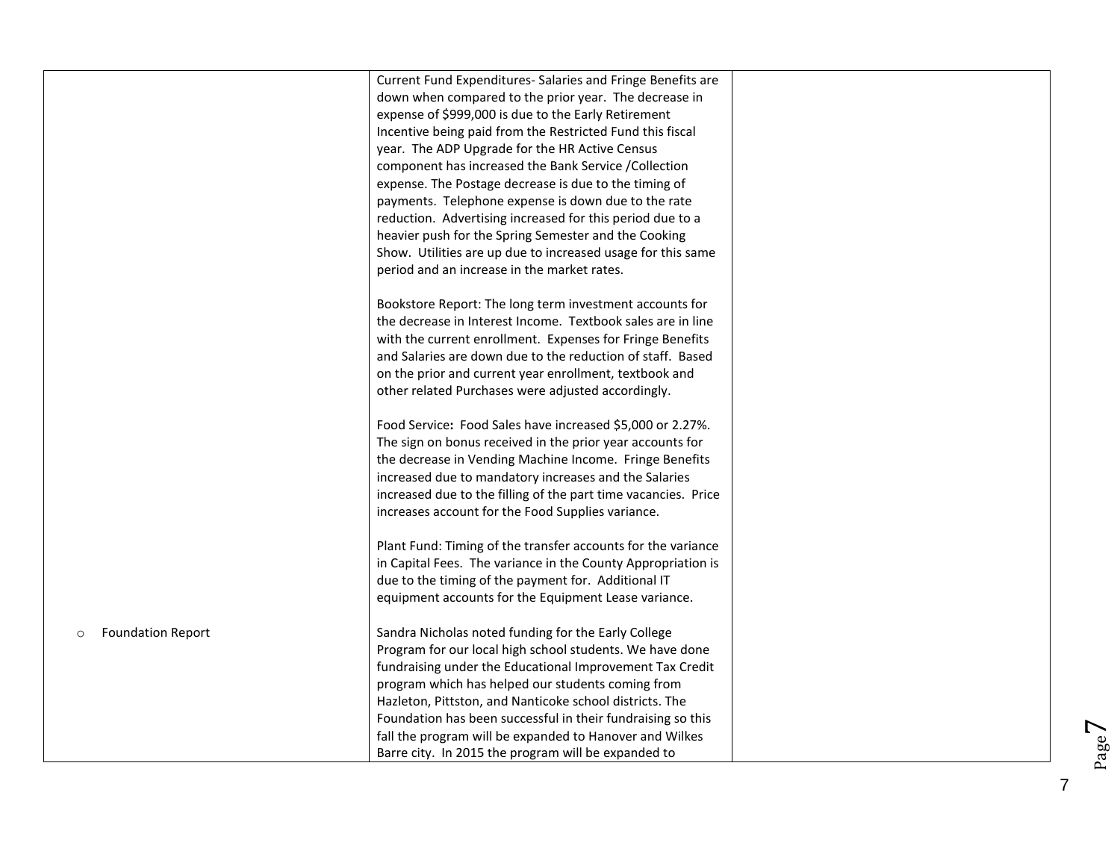|                                     | Current Fund Expenditures- Salaries and Fringe Benefits are<br>down when compared to the prior year. The decrease in<br>expense of \$999,000 is due to the Early Retirement<br>Incentive being paid from the Restricted Fund this fiscal<br>year. The ADP Upgrade for the HR Active Census<br>component has increased the Bank Service / Collection<br>expense. The Postage decrease is due to the timing of<br>payments. Telephone expense is down due to the rate<br>reduction. Advertising increased for this period due to a<br>heavier push for the Spring Semester and the Cooking<br>Show. Utilities are up due to increased usage for this same<br>period and an increase in the market rates. |  |
|-------------------------------------|--------------------------------------------------------------------------------------------------------------------------------------------------------------------------------------------------------------------------------------------------------------------------------------------------------------------------------------------------------------------------------------------------------------------------------------------------------------------------------------------------------------------------------------------------------------------------------------------------------------------------------------------------------------------------------------------------------|--|
|                                     | Bookstore Report: The long term investment accounts for<br>the decrease in Interest Income. Textbook sales are in line<br>with the current enrollment. Expenses for Fringe Benefits<br>and Salaries are down due to the reduction of staff. Based<br>on the prior and current year enrollment, textbook and<br>other related Purchases were adjusted accordingly.                                                                                                                                                                                                                                                                                                                                      |  |
|                                     | Food Service: Food Sales have increased \$5,000 or 2.27%.<br>The sign on bonus received in the prior year accounts for<br>the decrease in Vending Machine Income. Fringe Benefits<br>increased due to mandatory increases and the Salaries<br>increased due to the filling of the part time vacancies. Price<br>increases account for the Food Supplies variance.                                                                                                                                                                                                                                                                                                                                      |  |
|                                     | Plant Fund: Timing of the transfer accounts for the variance<br>in Capital Fees. The variance in the County Appropriation is<br>due to the timing of the payment for. Additional IT<br>equipment accounts for the Equipment Lease variance.                                                                                                                                                                                                                                                                                                                                                                                                                                                            |  |
| <b>Foundation Report</b><br>$\circ$ | Sandra Nicholas noted funding for the Early College<br>Program for our local high school students. We have done<br>fundraising under the Educational Improvement Tax Credit<br>program which has helped our students coming from<br>Hazleton, Pittston, and Nanticoke school districts. The<br>Foundation has been successful in their fundraising so this<br>fall the program will be expanded to Hanover and Wilkes<br>Barre city. In 2015 the program will be expanded to                                                                                                                                                                                                                           |  |

Page7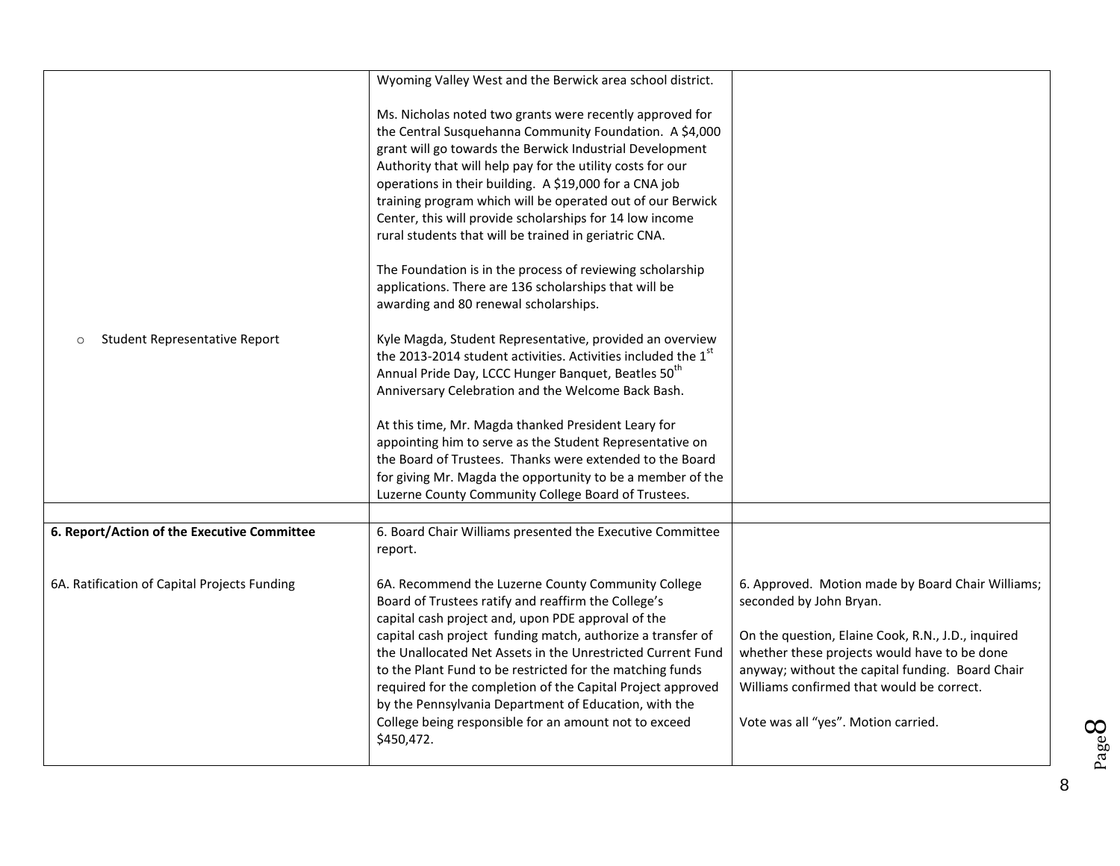|                                              | Wyoming Valley West and the Berwick area school district.                                                                                                                                                                                                                                                                                                                                                                                                                                                                                               |                                                                                                                                                                                                     |
|----------------------------------------------|---------------------------------------------------------------------------------------------------------------------------------------------------------------------------------------------------------------------------------------------------------------------------------------------------------------------------------------------------------------------------------------------------------------------------------------------------------------------------------------------------------------------------------------------------------|-----------------------------------------------------------------------------------------------------------------------------------------------------------------------------------------------------|
|                                              | Ms. Nicholas noted two grants were recently approved for<br>the Central Susquehanna Community Foundation. A \$4,000<br>grant will go towards the Berwick Industrial Development<br>Authority that will help pay for the utility costs for our<br>operations in their building. A \$19,000 for a CNA job<br>training program which will be operated out of our Berwick<br>Center, this will provide scholarships for 14 low income<br>rural students that will be trained in geriatric CNA.<br>The Foundation is in the process of reviewing scholarship |                                                                                                                                                                                                     |
|                                              | applications. There are 136 scholarships that will be<br>awarding and 80 renewal scholarships.                                                                                                                                                                                                                                                                                                                                                                                                                                                          |                                                                                                                                                                                                     |
| Student Representative Report<br>$\circ$     | Kyle Magda, Student Representative, provided an overview<br>the 2013-2014 student activities. Activities included the 1st<br>Annual Pride Day, LCCC Hunger Banquet, Beatles 50 <sup>th</sup><br>Anniversary Celebration and the Welcome Back Bash.                                                                                                                                                                                                                                                                                                      |                                                                                                                                                                                                     |
|                                              | At this time, Mr. Magda thanked President Leary for<br>appointing him to serve as the Student Representative on                                                                                                                                                                                                                                                                                                                                                                                                                                         |                                                                                                                                                                                                     |
|                                              | the Board of Trustees. Thanks were extended to the Board<br>for giving Mr. Magda the opportunity to be a member of the<br>Luzerne County Community College Board of Trustees.                                                                                                                                                                                                                                                                                                                                                                           |                                                                                                                                                                                                     |
|                                              |                                                                                                                                                                                                                                                                                                                                                                                                                                                                                                                                                         |                                                                                                                                                                                                     |
| 6. Report/Action of the Executive Committee  | 6. Board Chair Williams presented the Executive Committee<br>report.                                                                                                                                                                                                                                                                                                                                                                                                                                                                                    |                                                                                                                                                                                                     |
| 6A. Ratification of Capital Projects Funding | 6A. Recommend the Luzerne County Community College<br>Board of Trustees ratify and reaffirm the College's<br>capital cash project and, upon PDE approval of the                                                                                                                                                                                                                                                                                                                                                                                         | 6. Approved. Motion made by Board Chair Williams;<br>seconded by John Bryan.                                                                                                                        |
|                                              | capital cash project funding match, authorize a transfer of<br>the Unallocated Net Assets in the Unrestricted Current Fund<br>to the Plant Fund to be restricted for the matching funds<br>required for the completion of the Capital Project approved<br>by the Pennsylvania Department of Education, with the                                                                                                                                                                                                                                         | On the question, Elaine Cook, R.N., J.D., inquired<br>whether these projects would have to be done<br>anyway; without the capital funding. Board Chair<br>Williams confirmed that would be correct. |
|                                              | College being responsible for an amount not to exceed<br>\$450,472.                                                                                                                                                                                                                                                                                                                                                                                                                                                                                     | Vote was all "yes". Motion carried.                                                                                                                                                                 |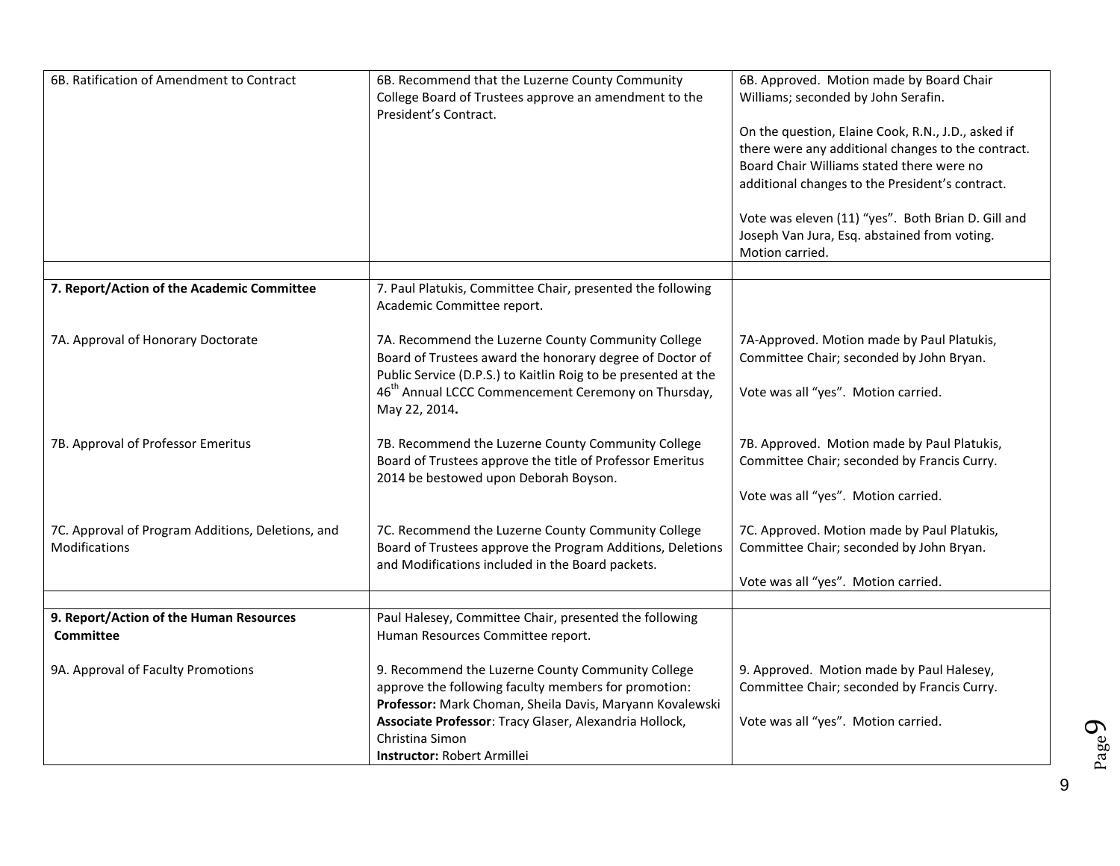| 6B. Ratification of Amendment to Contract                          | 6B. Recommend that the Luzerne County Community<br>College Board of Trustees approve an amendment to the<br>President's Contract.                                                                                                                                                        | 6B. Approved. Motion made by Board Chair<br>Williams; seconded by John Serafin.<br>On the question, Elaine Cook, R.N., J.D., asked if<br>there were any additional changes to the contract.<br>Board Chair Williams stated there were no<br>additional changes to the President's contract.<br>Vote was eleven (11) "yes". Both Brian D. Gill and<br>Joseph Van Jura, Esq. abstained from voting. |
|--------------------------------------------------------------------|------------------------------------------------------------------------------------------------------------------------------------------------------------------------------------------------------------------------------------------------------------------------------------------|---------------------------------------------------------------------------------------------------------------------------------------------------------------------------------------------------------------------------------------------------------------------------------------------------------------------------------------------------------------------------------------------------|
|                                                                    |                                                                                                                                                                                                                                                                                          | Motion carried.                                                                                                                                                                                                                                                                                                                                                                                   |
| 7. Report/Action of the Academic Committee                         | 7. Paul Platukis, Committee Chair, presented the following<br>Academic Committee report.                                                                                                                                                                                                 |                                                                                                                                                                                                                                                                                                                                                                                                   |
| 7A. Approval of Honorary Doctorate                                 | 7A. Recommend the Luzerne County Community College<br>Board of Trustees award the honorary degree of Doctor of<br>Public Service (D.P.S.) to Kaitlin Roig to be presented at the<br>46 <sup>th</sup> Annual LCCC Commencement Ceremony on Thursday,<br>May 22, 2014.                     | 7A-Approved. Motion made by Paul Platukis,<br>Committee Chair; seconded by John Bryan.<br>Vote was all "yes". Motion carried.                                                                                                                                                                                                                                                                     |
| 7B. Approval of Professor Emeritus                                 | 7B. Recommend the Luzerne County Community College<br>Board of Trustees approve the title of Professor Emeritus<br>2014 be bestowed upon Deborah Boyson.                                                                                                                                 | 7B. Approved. Motion made by Paul Platukis,<br>Committee Chair; seconded by Francis Curry.<br>Vote was all "yes". Motion carried.                                                                                                                                                                                                                                                                 |
| 7C. Approval of Program Additions, Deletions, and<br>Modifications | 7C. Recommend the Luzerne County Community College<br>Board of Trustees approve the Program Additions, Deletions<br>and Modifications included in the Board packets.                                                                                                                     | 7C. Approved. Motion made by Paul Platukis,<br>Committee Chair; seconded by John Bryan.<br>Vote was all "yes". Motion carried.                                                                                                                                                                                                                                                                    |
|                                                                    |                                                                                                                                                                                                                                                                                          |                                                                                                                                                                                                                                                                                                                                                                                                   |
| 9. Report/Action of the Human Resources<br><b>Committee</b>        | Paul Halesey, Committee Chair, presented the following<br>Human Resources Committee report.                                                                                                                                                                                              |                                                                                                                                                                                                                                                                                                                                                                                                   |
| 9A. Approval of Faculty Promotions                                 | 9. Recommend the Luzerne County Community College<br>approve the following faculty members for promotion:<br>Professor: Mark Choman, Sheila Davis, Maryann Kovalewski<br>Associate Professor: Tracy Glaser, Alexandria Hollock,<br>Christina Simon<br><b>Instructor: Robert Armillei</b> | 9. Approved. Motion made by Paul Halesey,<br>Committee Chair; seconded by Francis Curry.<br>Vote was all "yes". Motion carried.                                                                                                                                                                                                                                                                   |